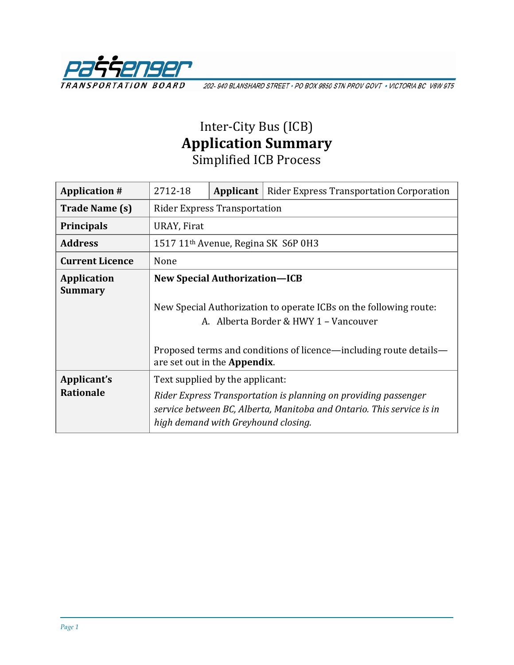

202-940 BLANSHARD STREET · PO BOX 9850 STN PROV GOVT · VICTORIA BC V8W 9T5

## Inter-City Bus (ICB) **Application Summary** Simplified ICB Process

| <b>Application #</b>                 | 2712-18                                                                                                                                                                         | Applicant | <b>Rider Express Transportation Corporation</b> |  |
|--------------------------------------|---------------------------------------------------------------------------------------------------------------------------------------------------------------------------------|-----------|-------------------------------------------------|--|
| Trade Name (s)                       | <b>Rider Express Transportation</b>                                                                                                                                             |           |                                                 |  |
| <b>Principals</b>                    | URAY, Firat                                                                                                                                                                     |           |                                                 |  |
| <b>Address</b>                       | 1517 11 <sup>th</sup> Avenue, Regina SK S6P 0H3                                                                                                                                 |           |                                                 |  |
| <b>Current Licence</b>               | None                                                                                                                                                                            |           |                                                 |  |
| <b>Application</b><br><b>Summary</b> | <b>New Special Authorization-ICB</b>                                                                                                                                            |           |                                                 |  |
|                                      | New Special Authorization to operate ICBs on the following route:<br>A. Alberta Border & HWY 1 - Vancouver                                                                      |           |                                                 |  |
|                                      | Proposed terms and conditions of licence—including route details—<br>are set out in the <b>Appendix</b> .                                                                       |           |                                                 |  |
| Applicant's                          | Text supplied by the applicant:                                                                                                                                                 |           |                                                 |  |
| <b>Rationale</b>                     | Rider Express Transportation is planning on providing passenger<br>service between BC, Alberta, Manitoba and Ontario. This service is in<br>high demand with Greyhound closing. |           |                                                 |  |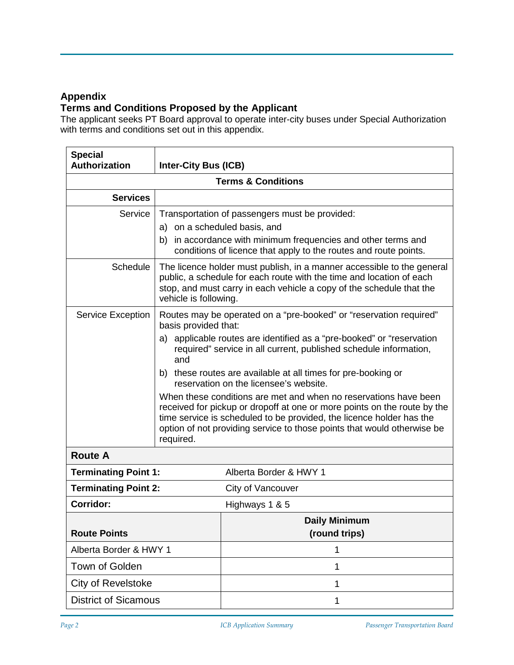## **Appendix**

## **Terms and Conditions Proposed by the Applicant**

The applicant seeks PT Board approval to operate inter-city buses under Special Authorization with terms and conditions set out in this appendix.

| <b>Special</b><br><b>Authorization</b> | <b>Inter-City Bus (ICB)</b>                                                                                                                                                                                                                                                                                  |                                                                                                                                            |  |  |  |
|----------------------------------------|--------------------------------------------------------------------------------------------------------------------------------------------------------------------------------------------------------------------------------------------------------------------------------------------------------------|--------------------------------------------------------------------------------------------------------------------------------------------|--|--|--|
| <b>Terms &amp; Conditions</b>          |                                                                                                                                                                                                                                                                                                              |                                                                                                                                            |  |  |  |
| <b>Services</b>                        |                                                                                                                                                                                                                                                                                                              |                                                                                                                                            |  |  |  |
| Service                                | Transportation of passengers must be provided:<br>a) on a scheduled basis, and<br>b) in accordance with minimum frequencies and other terms and<br>conditions of licence that apply to the routes and route points.                                                                                          |                                                                                                                                            |  |  |  |
| <b>Schedule</b>                        | The licence holder must publish, in a manner accessible to the general<br>public, a schedule for each route with the time and location of each<br>stop, and must carry in each vehicle a copy of the schedule that the<br>vehicle is following.                                                              |                                                                                                                                            |  |  |  |
| Service Exception                      | Routes may be operated on a "pre-booked" or "reservation required"<br>basis provided that:                                                                                                                                                                                                                   |                                                                                                                                            |  |  |  |
|                                        | and                                                                                                                                                                                                                                                                                                          | a) applicable routes are identified as a "pre-booked" or "reservation<br>required" service in all current, published schedule information, |  |  |  |
|                                        | b) these routes are available at all times for pre-booking or<br>reservation on the licensee's website.                                                                                                                                                                                                      |                                                                                                                                            |  |  |  |
|                                        | When these conditions are met and when no reservations have been<br>received for pickup or dropoff at one or more points on the route by the<br>time service is scheduled to be provided, the licence holder has the<br>option of not providing service to those points that would otherwise be<br>required. |                                                                                                                                            |  |  |  |
| <b>Route A</b>                         |                                                                                                                                                                                                                                                                                                              |                                                                                                                                            |  |  |  |
| <b>Terminating Point 1:</b>            |                                                                                                                                                                                                                                                                                                              | Alberta Border & HWY 1                                                                                                                     |  |  |  |
| <b>Terminating Point 2:</b>            |                                                                                                                                                                                                                                                                                                              | City of Vancouver                                                                                                                          |  |  |  |
| Corridor:                              |                                                                                                                                                                                                                                                                                                              | Highways 1 & 5                                                                                                                             |  |  |  |
|                                        |                                                                                                                                                                                                                                                                                                              | <b>Daily Minimum</b>                                                                                                                       |  |  |  |
| <b>Route Points</b>                    |                                                                                                                                                                                                                                                                                                              | (round trips)                                                                                                                              |  |  |  |
| Alberta Border & HWY 1                 |                                                                                                                                                                                                                                                                                                              | 1                                                                                                                                          |  |  |  |
| Town of Golden                         |                                                                                                                                                                                                                                                                                                              | 1                                                                                                                                          |  |  |  |
| City of Revelstoke                     |                                                                                                                                                                                                                                                                                                              | 1                                                                                                                                          |  |  |  |
| <b>District of Sicamous</b>            |                                                                                                                                                                                                                                                                                                              | 1                                                                                                                                          |  |  |  |